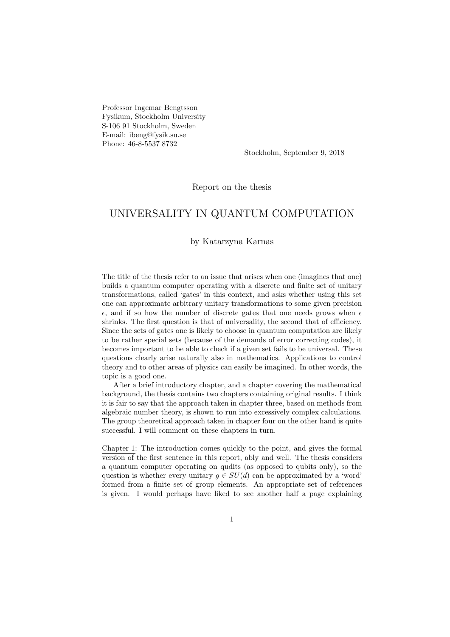Professor Ingemar Bengtsson Fysikum, Stockholm University S-106 91 Stockholm, Sweden E-mail: ibeng@fysik.su.se Phone: 46-8-5537 8732

Stockholm, September 9, 2018

Report on the thesis

## UNIVERSALITY IN QUANTUM COMPUTATION

## by Katarzyna Karnas

The title of the thesis refer to an issue that arises when one (imagines that one) builds a quantum computer operating with a discrete and finite set of unitary transformations, called 'gates' in this context, and asks whether using this set one can approximate arbitrary unitary transformations to some given precision  $\epsilon$ , and if so how the number of discrete gates that one needs grows when  $\epsilon$ shrinks. The first question is that of universality, the second that of efficiency. Since the sets of gates one is likely to choose in quantum computation are likely to be rather special sets (because of the demands of error correcting codes), it becomes important to be able to check if a given set fails to be universal. These questions clearly arise naturally also in mathematics. Applications to control theory and to other areas of physics can easily be imagined. In other words, the topic is a good one.

After a brief introductory chapter, and a chapter covering the mathematical background, the thesis contains two chapters containing original results. I think it is fair to say that the approach taken in chapter three, based on methods from algebraic number theory, is shown to run into excessively complex calculations. The group theoretical approach taken in chapter four on the other hand is quite successful. I will comment on these chapters in turn.

Chapter 1: The introduction comes quickly to the point, and gives the formal version of the first sentence in this report, ably and well. The thesis considers a quantum computer operating on qudits (as opposed to qubits only), so the question is whether every unitary  $g \in SU(d)$  can be approximated by a 'word' formed from a finite set of group elements. An appropriate set of references is given. I would perhaps have liked to see another half a page explaining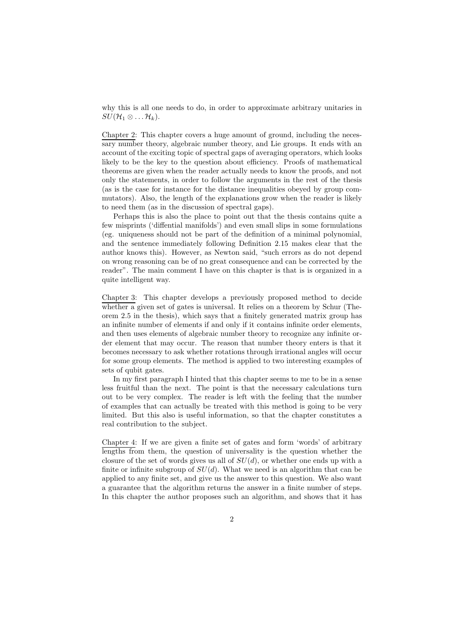why this is all one needs to do, in order to approximate arbitrary unitaries in  $SU(\mathcal{H}_1\otimes \ldots \mathcal{H}_k).$ 

Chapter 2: This chapter covers a huge amount of ground, including the necessary number theory, algebraic number theory, and Lie groups. It ends with an account of the exciting topic of spectral gaps of averaging operators, which looks likely to be the key to the question about efficiency. Proofs of mathematical theorems are given when the reader actually needs to know the proofs, and not only the statements, in order to follow the arguments in the rest of the thesis (as is the case for instance for the distance inequalities obeyed by group commutators). Also, the length of the explanations grow when the reader is likely to need them (as in the discussion of spectral gaps).

Perhaps this is also the place to point out that the thesis contains quite a few misprints ('diffential manifolds') and even small slips in some formulations (eg. uniqueness should not be part of the definition of a minimal polynomial, and the sentence immediately following Definition 2.15 makes clear that the author knows this). However, as Newton said, "such errors as do not depend on wrong reasoning can be of no great consequence and can be corrected by the reader". The main comment I have on this chapter is that is is organized in a quite intelligent way.

Chapter 3: This chapter develops a previously proposed method to decide whether a given set of gates is universal. It relies on a theorem by Schur (Theorem 2.5 in the thesis), which says that a finitely generated matrix group has an infinite number of elements if and only if it contains infinite order elements, and then uses elements of algebraic number theory to recognize any infinite order element that may occur. The reason that number theory enters is that it becomes necessary to ask whether rotations through irrational angles will occur for some group elements. The method is applied to two interesting examples of sets of qubit gates.

In my first paragraph I hinted that this chapter seems to me to be in a sense less fruitful than the next. The point is that the necessary calculations turn out to be very complex. The reader is left with the feeling that the number of examples that can actually be treated with this method is going to be very limited. But this also is useful information, so that the chapter constitutes a real contribution to the subject.

Chapter 4: If we are given a finite set of gates and form 'words' of arbitrary lengths from them, the question of universality is the question whether the closure of the set of words gives us all of  $SU(d)$ , or whether one ends up with a finite or infinite subgroup of  $SU(d)$ . What we need is an algorithm that can be applied to any finite set, and give us the answer to this question. We also want a guarantee that the algorithm returns the answer in a finite number of steps. In this chapter the author proposes such an algorithm, and shows that it has